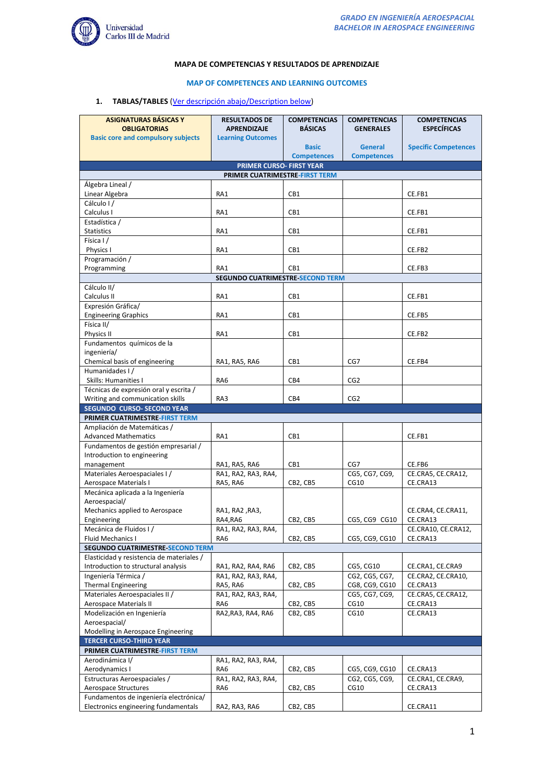

# **MAPA DE COMPETENCIAS Y RESULTADOS DE APRENDIZAJE**

#### **MAP OF COMPETENCES AND LEARNING OUTCOMES**

# **1. TABLAS/TABLES** [\(Ver descripción abajo/Description below\)](#page-3-0)

| <b>ASIGNATURAS BÁSICAS Y</b>                                        | <b>RESULTADOS DE</b>                    | <b>COMPETENCIAS</b> | <b>COMPETENCIAS</b> | <b>COMPETENCIAS</b>             |  |  |  |
|---------------------------------------------------------------------|-----------------------------------------|---------------------|---------------------|---------------------------------|--|--|--|
| <b>OBLIGATORIAS</b>                                                 | <b>APRENDIZAJE</b>                      | <b>BÁSICAS</b>      | <b>GENERALES</b>    | <b>ESPECÍFICAS</b>              |  |  |  |
| <b>Basic core and compulsory subjects</b>                           | <b>Learning Outcomes</b>                |                     |                     |                                 |  |  |  |
|                                                                     |                                         | <b>Basic</b>        | <b>General</b>      | <b>Specific Competences</b>     |  |  |  |
|                                                                     |                                         | <b>Competences</b>  | <b>Competences</b>  |                                 |  |  |  |
| <b>PRIMER CURSO- FIRST YEAR</b><br>PRIMER CUATRIMESTRE-FIRST TERM   |                                         |                     |                     |                                 |  |  |  |
| Álgebra Lineal /                                                    |                                         |                     |                     |                                 |  |  |  |
| Linear Algebra                                                      | RA1                                     | CB1                 |                     | CE.FB1                          |  |  |  |
| Cálculo I/                                                          |                                         |                     |                     |                                 |  |  |  |
| Calculus I                                                          | RA1                                     | CB1                 |                     | CE.FB1                          |  |  |  |
| Estadística /                                                       |                                         |                     |                     |                                 |  |  |  |
| <b>Statistics</b>                                                   | RA1                                     | CB1                 |                     | CE.FB1                          |  |  |  |
| Física I /                                                          |                                         |                     |                     |                                 |  |  |  |
| Physics I                                                           | RA1                                     | CB1                 |                     | CE.FB2                          |  |  |  |
| Programación /                                                      |                                         |                     |                     |                                 |  |  |  |
| Programming                                                         | RA1                                     | CB1                 |                     | CE.FB3                          |  |  |  |
|                                                                     | <b>SEGUNDO CUATRIMESTRE SECOND TERM</b> |                     |                     |                                 |  |  |  |
| Cálculo II/<br>Calculus II                                          | RA1                                     | CB1                 |                     | CE.FB1                          |  |  |  |
| Expresión Gráfica/                                                  |                                         |                     |                     |                                 |  |  |  |
| <b>Engineering Graphics</b>                                         | RA1                                     | CB1                 |                     | CE.FB5                          |  |  |  |
| Física II/                                                          |                                         |                     |                     |                                 |  |  |  |
| Physics II                                                          | RA1                                     | CB1                 |                     | CE.FB2                          |  |  |  |
| Fundamentos químicos de la                                          |                                         |                     |                     |                                 |  |  |  |
| ingeniería/                                                         |                                         |                     |                     |                                 |  |  |  |
| Chemical basis of engineering                                       | RA1, RA5, RA6                           | CB1                 | CG7                 | CE.FB4                          |  |  |  |
| Humanidades I/                                                      |                                         |                     |                     |                                 |  |  |  |
| Skills: Humanities I                                                | RA6                                     | CB4                 | CG <sub>2</sub>     |                                 |  |  |  |
| Técnicas de expresión oral y escrita /                              |                                         |                     |                     |                                 |  |  |  |
| Writing and communication skills                                    | RA3                                     | CB4                 | CG <sub>2</sub>     |                                 |  |  |  |
| <b>SEGUNDO CURSO- SECOND YEAR</b><br>PRIMER CUATRIMESTRE-FIRST TERM |                                         |                     |                     |                                 |  |  |  |
| Ampliación de Matemáticas /                                         |                                         |                     |                     |                                 |  |  |  |
| <b>Advanced Mathematics</b>                                         | RA1                                     | CB1                 |                     | CE.FB1                          |  |  |  |
| Fundamentos de gestión empresarial /                                |                                         |                     |                     |                                 |  |  |  |
| Introduction to engineering                                         |                                         |                     |                     |                                 |  |  |  |
| management                                                          | RA1, RA5, RA6                           | CB1                 | CG7                 | CE.FB6                          |  |  |  |
| Materiales Aeroespaciales I/                                        | RA1, RA2, RA3, RA4,                     |                     | CG5, CG7, CG9,      | CE.CRA5, CE.CRA12,              |  |  |  |
| Aerospace Materials I                                               | RA5, RA6                                | CB2, CB5            | CG10                | CE.CRA13                        |  |  |  |
| Mecánica aplicada a la Ingeniería                                   |                                         |                     |                     |                                 |  |  |  |
| Aeroespacial/                                                       |                                         |                     |                     |                                 |  |  |  |
| Mechanics applied to Aerospace                                      | RA1, RA2, RA3,                          |                     |                     | CE.CRA4, CE.CRA11,              |  |  |  |
| Engineering<br>Mecánica de Fluidos I /                              | RA4,RA6<br>RA1, RA2, RA3, RA4,          | CB2, CB5            | CG5, CG9 CG10       | CE.CRA13<br>CE.CRA10, CE.CRA12, |  |  |  |
| Fluid Mechanics I                                                   | RA6                                     | CB2, CB5            | CG5, CG9, CG10      | CE.CRA13                        |  |  |  |
| SEGUNDO CUATRIMESTRE SECOND TERM                                    |                                         |                     |                     |                                 |  |  |  |
| Elasticidad y resistencia de materiales /                           |                                         |                     |                     |                                 |  |  |  |
| Introduction to structural analysis                                 | RA1, RA2, RA4, RA6                      | CB2, CB5            | CG5, CG10           | CE.CRA1, CE.CRA9                |  |  |  |
| Ingeniería Térmica /                                                | RA1, RA2, RA3, RA4,                     |                     | CG2, CG5, CG7,      | CE.CRA2, CE.CRA10,              |  |  |  |
| <b>Thermal Engineering</b>                                          | RA5, RA6                                | CB2, CB5            | CG8, CG9, CG10      | CE.CRA13                        |  |  |  |
| Materiales Aeroespaciales II /                                      | RA1, RA2, RA3, RA4,                     |                     | CG5, CG7, CG9,      | CE.CRA5, CE.CRA12,              |  |  |  |
| Aerospace Materials II                                              | RA6                                     | CB2, CB5            | CG10                | CE.CRA13                        |  |  |  |
| Modelización en Ingeniería                                          | RA2, RA3, RA4, RA6                      | CB2, CB5            | CG10                | CE.CRA13                        |  |  |  |
| Aeroespacial/                                                       |                                         |                     |                     |                                 |  |  |  |
| Modelling in Aerospace Engineering                                  |                                         |                     |                     |                                 |  |  |  |
| <b>TERCER CURSO-THIRD YEAR</b>                                      |                                         |                     |                     |                                 |  |  |  |
| PRIMER CUATRIMESTRE-FIRST TERM<br>Aerodinámica I/                   | RA1, RA2, RA3, RA4,                     |                     |                     |                                 |  |  |  |
| Aerodynamics I                                                      | RA6                                     | CB2, CB5            | CG5, CG9, CG10      | CE.CRA13                        |  |  |  |
| Estructuras Aeroespaciales /                                        | RA1, RA2, RA3, RA4,                     |                     | CG2, CG5, CG9,      | CE.CRA1, CE.CRA9,               |  |  |  |
| Aerospace Structures                                                | RA6                                     | CB2, CB5            | CG10                | CE.CRA13                        |  |  |  |
| Fundamentos de ingeniería electrónica/                              |                                         |                     |                     |                                 |  |  |  |
| Electronics engineering fundamentals                                | RA2, RA3, RA6                           | CB2, CB5            |                     | CE.CRA11                        |  |  |  |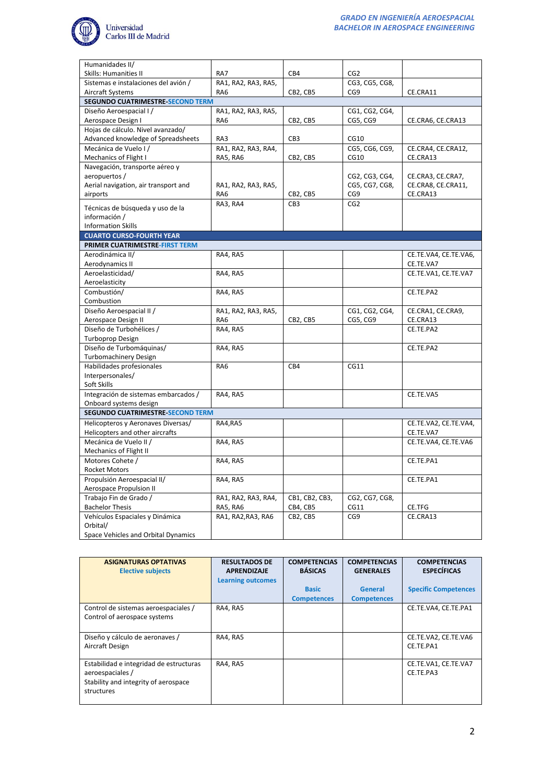

| Humanidades II/                                                                                     |  |
|-----------------------------------------------------------------------------------------------------|--|
| CB4<br>Skills: Humanities II<br>RA7<br>CG2                                                          |  |
| Sistemas e instalaciones del avión /<br>RA1, RA2, RA3, RA5,<br>CG3, CG5, CG8,                       |  |
| Aircraft Systems<br>RA <sub>6</sub><br>CB2, CB5<br>CG9<br>CE.CRA11                                  |  |
| SEGUNDO CUATRIMESTRE SECOND TERM                                                                    |  |
| Diseño Aeroespacial I /<br>RA1, RA2, RA3, RA5,<br>CG1, CG2, CG4,                                    |  |
| CG5, CG9<br>Aerospace Design I<br>RA <sub>6</sub><br>CB2, CB5<br>CE.CRA6, CE.CRA13                  |  |
| Hojas de cálculo. Nivel avanzado/                                                                   |  |
| Advanced knowledge of Spreadsheets<br>CB <sub>3</sub><br>RA3<br>CG10                                |  |
| RA1, RA2, RA3, RA4,<br>Mecánica de Vuelo I/<br>CG5, CG6, CG9,<br>CE.CRA4, CE.CRA12,                 |  |
| Mechanics of Flight I<br>CE.CRA13<br>RA5, RA6<br>CB2, CB5<br>CG10                                   |  |
| Navegación, transporte aéreo y                                                                      |  |
| aeropuertos /<br>CG2, CG3, CG4,<br>CE.CRA3, CE.CRA7,                                                |  |
| CG5, CG7, CG8,<br>CE.CRA8, CE.CRA11,<br>Aerial navigation, air transport and<br>RA1, RA2, RA3, RA5, |  |
| CG9<br>CE.CRA13<br>airports<br>RA6<br>CB2, CB5                                                      |  |
| RA3, RA4<br>CG2<br>CB <sub>3</sub>                                                                  |  |
| Técnicas de búsqueda y uso de la                                                                    |  |
| información /                                                                                       |  |
| <b>Information Skills</b>                                                                           |  |
| <b>CUARTO CURSO-FOURTH YEAR</b>                                                                     |  |
| PRIMER CUATRIMESTRE-FIRST TERM                                                                      |  |
| Aerodinámica II/<br>RA4, RA5<br>CE.TE.VA4, CE.TE.VA6,                                               |  |
| CE.TE.VA7<br>Aerodynamics II                                                                        |  |
| Aeroelasticidad/<br>RA4, RA5<br>CE.TE.VA1, CE.TE.VA7                                                |  |
| Aeroelasticity                                                                                      |  |
| Combustión/<br>RA4, RA5<br>CE.TE.PA2                                                                |  |
| Combustion                                                                                          |  |
| CG1, CG2, CG4,<br>Diseño Aeroespacial II /<br>RA1, RA2, RA3, RA5,<br>CE.CRA1, CE.CRA9,              |  |
| RA <sub>6</sub><br>CB2, CB5<br>CG5, CG9<br>CE.CRA13<br>Aerospace Design II                          |  |
| Diseño de Turbohélices /<br>RA4, RA5<br>CE.TE.PA2                                                   |  |
| Turboprop Design                                                                                    |  |
| Diseño de Turbomáquinas/<br>RA4, RA5<br>CE.TE.PA2                                                   |  |
| <b>Turbomachinery Design</b>                                                                        |  |
| Habilidades profesionales<br>RA6<br>CB4<br>CG11                                                     |  |
| Interpersonales/                                                                                    |  |
| Soft Skills                                                                                         |  |
| Integración de sistemas embarcados /<br>RA4, RA5<br>CE.TE.VA5                                       |  |
| Onboard systems design                                                                              |  |
| <b>SEGUNDO CUATRIMESTRE SECOND TERM</b>                                                             |  |
| Helicopteros y Aeronaves Diversas/<br>RA4, RA5<br>CE.TE.VA2, CE.TE.VA4,                             |  |
| Helicopters and other aircrafts<br>CE.TE.VA7                                                        |  |
| Mecánica de Vuelo II /<br>RA4, RA5<br>CE.TE.VA4, CE.TE.VA6                                          |  |
| Mechanics of Flight II                                                                              |  |
| Motores Cohete /<br>RA4, RA5<br>CE.TE.PA1                                                           |  |
| Rocket Motors                                                                                       |  |
| Propulsión Aeroespacial II/<br>RA4, RA5<br>CE.TE.PA1                                                |  |
| Aerospace Propulsion II                                                                             |  |
| Trabajo Fin de Grado /<br>RA1, RA2, RA3, RA4,<br>CB1, CB2, CB3,<br>CG2, CG7, CG8,                   |  |
| <b>Bachelor Thesis</b><br>RA5, RA6<br>CB4, CB5<br>CG11<br>CE.TFG                                    |  |
| Vehículos Espaciales y Dinámica<br>RA1, RA2, RA3, RA6<br>CB2, CB5<br>CG9<br>CE.CRA13                |  |
| Orbital/                                                                                            |  |
| Space Vehicles and Orbital Dynamics                                                                 |  |

| <b>ASIGNATURAS OPTATIVAS</b><br><b>Elective subjects</b>                                                          | <b>RESULTADOS DE</b><br><b>APRENDIZAJE</b><br><b>Learning outcomes</b> | <b>COMPETENCIAS</b><br><b>BÁSICAS</b> | <b>COMPETENCIAS</b><br><b>GENERALES</b> | <b>COMPETENCIAS</b><br><b>ESPECÍFICAS</b> |
|-------------------------------------------------------------------------------------------------------------------|------------------------------------------------------------------------|---------------------------------------|-----------------------------------------|-------------------------------------------|
|                                                                                                                   |                                                                        | <b>Basic</b><br><b>Competences</b>    | <b>General</b><br><b>Competences</b>    | <b>Specific Competences</b>               |
| Control de sistemas aeroespaciales /<br>Control of aerospace systems                                              | RA4, RA5                                                               |                                       |                                         | CE.TE.VA4. CE.TE.PA1                      |
| Diseño y cálculo de aeronaves /<br>Aircraft Design                                                                | RA4, RA5                                                               |                                       |                                         | CE.TE.VA2, CE.TE.VA6<br>CE.TE.PA1         |
| Estabilidad e integridad de estructuras<br>aeroespaciales /<br>Stability and integrity of aerospace<br>structures | <b>RA4, RA5</b>                                                        |                                       |                                         | CE.TE.VA1, CE.TE.VA7<br>CE.TE.PA3         |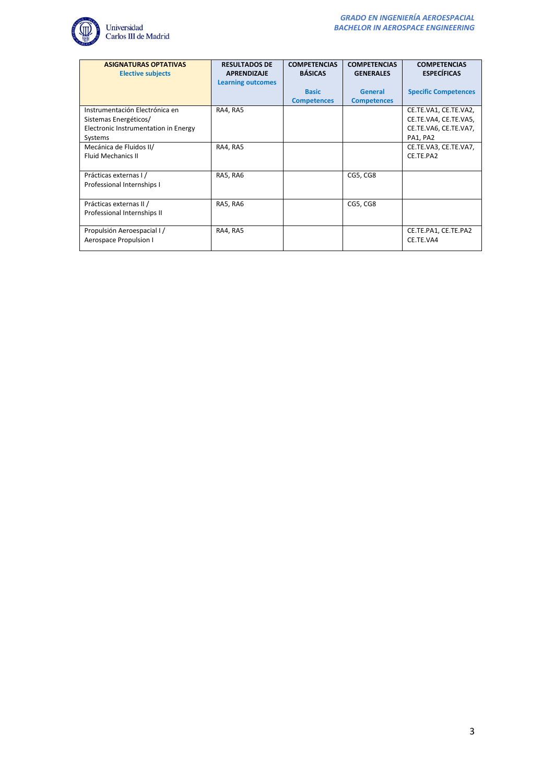

| <b>ASIGNATURAS OPTATIVAS</b><br><b>Elective subjects</b>                                                   | <b>RESULTADOS DE</b><br><b>APRENDIZAJE</b><br><b>Learning outcomes</b> | <b>COMPETENCIAS</b><br><b>BÁSICAS</b> | <b>COMPETENCIAS</b><br><b>GENERALES</b> | <b>COMPETENCIAS</b><br><b>ESPECÍFICAS</b>                                           |
|------------------------------------------------------------------------------------------------------------|------------------------------------------------------------------------|---------------------------------------|-----------------------------------------|-------------------------------------------------------------------------------------|
|                                                                                                            |                                                                        | <b>Basic</b><br><b>Competences</b>    | <b>General</b><br><b>Competences</b>    | <b>Specific Competences</b>                                                         |
| Instrumentación Electrónica en<br>Sistemas Energéticos/<br>Electronic Instrumentation in Energy<br>Systems | RA4, RA5                                                               |                                       |                                         | CE.TE.VA1, CE.TE.VA2,<br>CE.TE.VA4, CE.TE.VA5,<br>CE.TE.VA6, CE.TE.VA7,<br>PA1, PA2 |
| Mecánica de Fluidos II/<br><b>Fluid Mechanics II</b>                                                       | RA4, RA5                                                               |                                       |                                         | CE.TE.VA3, CE.TE.VA7,<br>CE.TE.PA2                                                  |
| Prácticas externas I /<br>Professional Internships I                                                       | RA5, RA6                                                               |                                       | CG5, CG8                                |                                                                                     |
| Prácticas externas II /<br>Professional Internships II                                                     | RA5, RA6                                                               |                                       | CG5, CG8                                |                                                                                     |
| Propulsión Aeroespacial I /<br>Aerospace Propulsion I                                                      | RA4, RA5                                                               |                                       |                                         | CE.TE.PA1, CE.TE.PA2<br>CE.TE.VA4                                                   |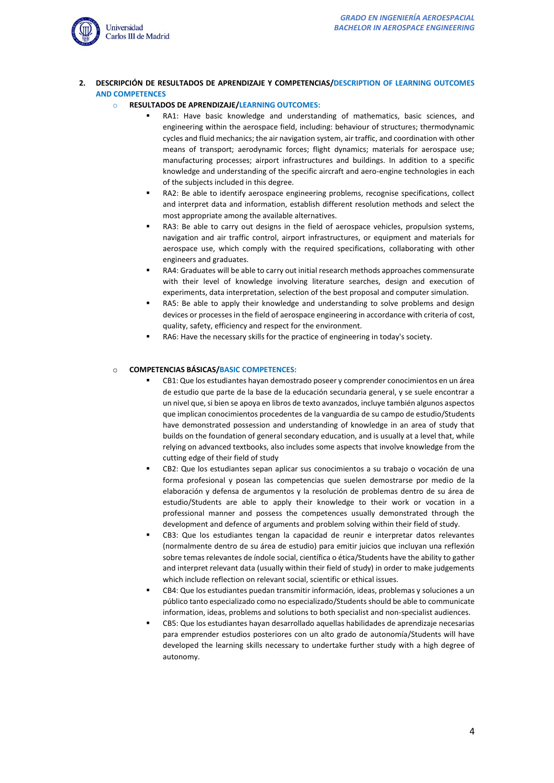

<span id="page-3-0"></span>**2. DESCRIPCIÓN DE RESULTADOS DE APRENDIZAJE Y COMPETENCIAS/DESCRIPTION OF LEARNING OUTCOMES AND COMPETENCES**

#### o **RESULTADOS DE APRENDIZAJE/LEARNING OUTCOMES:**

- RA1: Have basic knowledge and understanding of mathematics, basic sciences, and engineering within the aerospace field, including: behaviour of structures; thermodynamic cycles and fluid mechanics; the air navigation system, air traffic, and coordination with other means of transport; aerodynamic forces; flight dynamics; materials for aerospace use; manufacturing processes; airport infrastructures and buildings. In addition to a specific knowledge and understanding of the specific aircraft and aero-engine technologies in each of the subjects included in this degree.
- RA2: Be able to identify aerospace engineering problems, recognise specifications, collect and interpret data and information, establish different resolution methods and select the most appropriate among the available alternatives.
- RA3: Be able to carry out designs in the field of aerospace vehicles, propulsion systems, navigation and air traffic control, airport infrastructures, or equipment and materials for aerospace use, which comply with the required specifications, collaborating with other engineers and graduates.
- RA4: Graduates will be able to carry out initial research methods approaches commensurate with their level of knowledge involving literature searches, design and execution of experiments, data interpretation, selection of the best proposal and computer simulation.
- RA5: Be able to apply their knowledge and understanding to solve problems and design devices or processes in the field of aerospace engineering in accordance with criteria of cost, quality, safety, efficiency and respect for the environment.
- RA6: Have the necessary skills for the practice of engineering in today's society.

#### o **COMPETENCIAS BÁSICAS/BASIC COMPETENCES:**

- CB1: Que los estudiantes hayan demostrado poseer y comprender conocimientos en un área de estudio que parte de la base de la educación secundaria general, y se suele encontrar a un nivel que, si bien se apoya en libros de texto avanzados, incluye también algunos aspectos que implican conocimientos procedentes de la vanguardia de su campo de estudio/Students have demonstrated possession and understanding of knowledge in an area of study that builds on the foundation of general secondary education, and is usually at a level that, while relying on advanced textbooks, also includes some aspects that involve knowledge from the cutting edge of their field of study
- CB2: Que los estudiantes sepan aplicar sus conocimientos a su trabajo o vocación de una forma profesional y posean las competencias que suelen demostrarse por medio de la elaboración y defensa de argumentos y la resolución de problemas dentro de su área de estudio/Students are able to apply their knowledge to their work or vocation in a professional manner and possess the competences usually demonstrated through the development and defence of arguments and problem solving within their field of study.
- CB3: Que los estudiantes tengan la capacidad de reunir e interpretar datos relevantes (normalmente dentro de su área de estudio) para emitir juicios que incluyan una reflexión sobre temas relevantes de índole social, científica o ética/Students have the ability to gather and interpret relevant data (usually within their field of study) in order to make judgements which include reflection on relevant social, scientific or ethical issues.
- CB4: Que los estudiantes puedan transmitir información, ideas, problemas y soluciones a un público tanto especializado como no especializado/Students should be able to communicate information, ideas, problems and solutions to both specialist and non-specialist audiences.
- CB5: Que los estudiantes hayan desarrollado aquellas habilidades de aprendizaje necesarias para emprender estudios posteriores con un alto grado de autonomía/Students will have developed the learning skills necessary to undertake further study with a high degree of autonomy.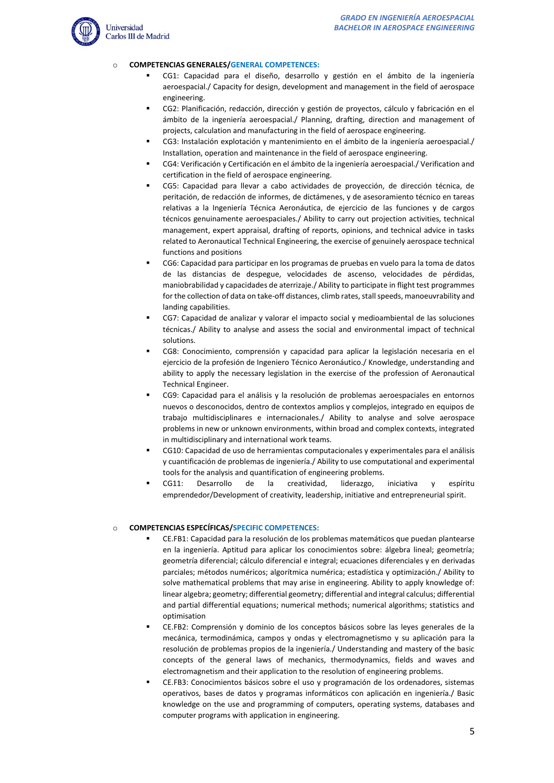

## o **COMPETENCIAS GENERALES/GENERAL COMPETENCES:**

- CG1: Capacidad para el diseño, desarrollo y gestión en el ámbito de la ingeniería aeroespacial./ Capacity for design, development and management in the field of aerospace engineering.
- CG2: Planificación, redacción, dirección y gestión de proyectos, cálculo y fabricación en el ámbito de la ingeniería aeroespacial./ Planning, drafting, direction and management of projects, calculation and manufacturing in the field of aerospace engineering.
- CG3: Instalación explotación y mantenimiento en el ámbito de la ingeniería aeroespacial./ Installation, operation and maintenance in the field of aerospace engineering.
- CG4: Verificación y Certificación en el ámbito de la ingeniería aeroespacial./ Verification and certification in the field of aerospace engineering.
- CG5: Capacidad para llevar a cabo actividades de proyección, de dirección técnica, de peritación, de redacción de informes, de dictámenes, y de asesoramiento técnico en tareas relativas a la Ingeniería Técnica Aeronáutica, de ejercicio de las funciones y de cargos técnicos genuinamente aeroespaciales./ Ability to carry out projection activities, technical management, expert appraisal, drafting of reports, opinions, and technical advice in tasks related to Aeronautical Technical Engineering, the exercise of genuinely aerospace technical functions and positions
- CG6: Capacidad para participar en los programas de pruebas en vuelo para la toma de datos de las distancias de despegue, velocidades de ascenso, velocidades de pérdidas, maniobrabilidad y capacidades de aterrizaje./ Ability to participate in flight test programmes for the collection of data on take-off distances, climb rates, stall speeds, manoeuvrability and landing capabilities.
- CG7: Capacidad de analizar y valorar el impacto social y medioambiental de las soluciones técnicas./ Ability to analyse and assess the social and environmental impact of technical solutions.
- CG8: Conocimiento, comprensión y capacidad para aplicar la legislación necesaria en el ejercicio de la profesión de Ingeniero Técnico Aeronáutico./ Knowledge, understanding and ability to apply the necessary legislation in the exercise of the profession of Aeronautical Technical Engineer.
- CG9: Capacidad para el análisis y la resolución de problemas aeroespaciales en entornos nuevos o desconocidos, dentro de contextos amplios y complejos, integrado en equipos de trabajo multidisciplinares e internacionales./ Ability to analyse and solve aerospace problems in new or unknown environments, within broad and complex contexts, integrated in multidisciplinary and international work teams.
- CG10: Capacidad de uso de herramientas computacionales y experimentales para el análisis y cuantificación de problemas de ingeniería./ Ability to use computational and experimental tools for the analysis and quantification of engineering problems.
- CG11: Desarrollo de la creatividad, liderazgo, iniciativa y espíritu emprendedor/Development of creativity, leadership, initiative and entrepreneurial spirit.

## o **COMPETENCIAS ESPECÍFICAS/SPECIFIC COMPETENCES:**

- CE.FB1: Capacidad para la resolución de los problemas matemáticos que puedan plantearse en la ingeniería. Aptitud para aplicar los conocimientos sobre: álgebra lineal; geometría; geometría diferencial; cálculo diferencial e integral; ecuaciones diferenciales y en derivadas parciales; métodos numéricos; algorítmica numérica; estadística y optimización./ Ability to solve mathematical problems that may arise in engineering. Ability to apply knowledge of: linear algebra; geometry; differential geometry; differential and integral calculus; differential and partial differential equations; numerical methods; numerical algorithms; statistics and optimisation
- CE.FB2: Comprensión y dominio de los conceptos básicos sobre las leyes generales de la mecánica, termodinámica, campos y ondas y electromagnetismo y su aplicación para la resolución de problemas propios de la ingeniería./ Understanding and mastery of the basic concepts of the general laws of mechanics, thermodynamics, fields and waves and electromagnetism and their application to the resolution of engineering problems.
- CE.FB3: Conocimientos básicos sobre el uso y programación de los ordenadores, sistemas operativos, bases de datos y programas informáticos con aplicación en ingeniería./ Basic knowledge on the use and programming of computers, operating systems, databases and computer programs with application in engineering.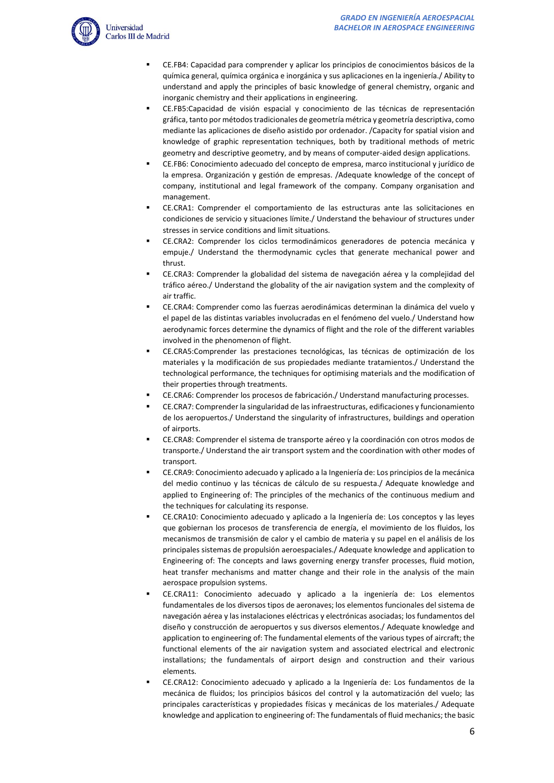

- CE.FB4: Capacidad para comprender y aplicar los principios de conocimientos básicos de la química general, química orgánica e inorgánica y sus aplicaciones en la ingeniería./ Ability to understand and apply the principles of basic knowledge of general chemistry, organic and inorganic chemistry and their applications in engineering.
- CE.FB5:Capacidad de visión espacial y conocimiento de las técnicas de representación gráfica, tanto por métodos tradicionales de geometría métrica y geometría descriptiva, como mediante las aplicaciones de diseño asistido por ordenador. /Capacity for spatial vision and knowledge of graphic representation techniques, both by traditional methods of metric geometry and descriptive geometry, and by means of computer-aided design applications.
- CE.FB6: Conocimiento adecuado del concepto de empresa, marco institucional y jurídico de la empresa. Organización y gestión de empresas. /Adequate knowledge of the concept of company, institutional and legal framework of the company. Company organisation and management.
- CE.CRA1: Comprender el comportamiento de las estructuras ante las solicitaciones en condiciones de servicio y situaciones límite./ Understand the behaviour of structures under stresses in service conditions and limit situations.
- CE.CRA2: Comprender los ciclos termodinámicos generadores de potencia mecánica y empuje./ Understand the thermodynamic cycles that generate mechanical power and thrust.
- CE.CRA3: Comprender la globalidad del sistema de navegación aérea y la complejidad del tráfico aéreo./ Understand the globality of the air navigation system and the complexity of air traffic.
- CE.CRA4: Comprender como las fuerzas aerodinámicas determinan la dinámica del vuelo y el papel de las distintas variables involucradas en el fenómeno del vuelo./ Understand how aerodynamic forces determine the dynamics of flight and the role of the different variables involved in the phenomenon of flight.
- CE.CRA5:Comprender las prestaciones tecnológicas, las técnicas de optimización de los materiales y la modificación de sus propiedades mediante tratamientos./ Understand the technological performance, the techniques for optimising materials and the modification of their properties through treatments.
- CE.CRA6: Comprender los procesos de fabricación./ Understand manufacturing processes.
- CE.CRA7: Comprender la singularidad de las infraestructuras, edificaciones y funcionamiento de los aeropuertos./ Understand the singularity of infrastructures, buildings and operation of airports.
- CE.CRA8: Comprender el sistema de transporte aéreo y la coordinación con otros modos de transporte./ Understand the air transport system and the coordination with other modes of transport.
- CE.CRA9: Conocimiento adecuado y aplicado a la Ingeniería de: Los principios de la mecánica del medio continuo y las técnicas de cálculo de su respuesta./ Adequate knowledge and applied to Engineering of: The principles of the mechanics of the continuous medium and the techniques for calculating its response.
- CE.CRA10: Conocimiento adecuado y aplicado a la Ingeniería de: Los conceptos y las leyes que gobiernan los procesos de transferencia de energía, el movimiento de los fluidos, los mecanismos de transmisión de calor y el cambio de materia y su papel en el análisis de los principales sistemas de propulsión aeroespaciales./ Adequate knowledge and application to Engineering of: The concepts and laws governing energy transfer processes, fluid motion, heat transfer mechanisms and matter change and their role in the analysis of the main aerospace propulsion systems.
- CE.CRA11: Conocimiento adecuado y aplicado a la ingeniería de: Los elementos fundamentales de los diversos tipos de aeronaves; los elementos funcionales del sistema de navegación aérea y las instalaciones eléctricas y electrónicas asociadas; los fundamentos del diseño y construcción de aeropuertos y sus diversos elementos./ Adequate knowledge and application to engineering of: The fundamental elements of the various types of aircraft; the functional elements of the air navigation system and associated electrical and electronic installations; the fundamentals of airport design and construction and their various elements.
- CE.CRA12: Conocimiento adecuado y aplicado a la Ingeniería de: Los fundamentos de la mecánica de fluidos; los principios básicos del control y la automatización del vuelo; las principales características y propiedades físicas y mecánicas de los materiales./ Adequate knowledge and application to engineering of: The fundamentals of fluid mechanics; the basic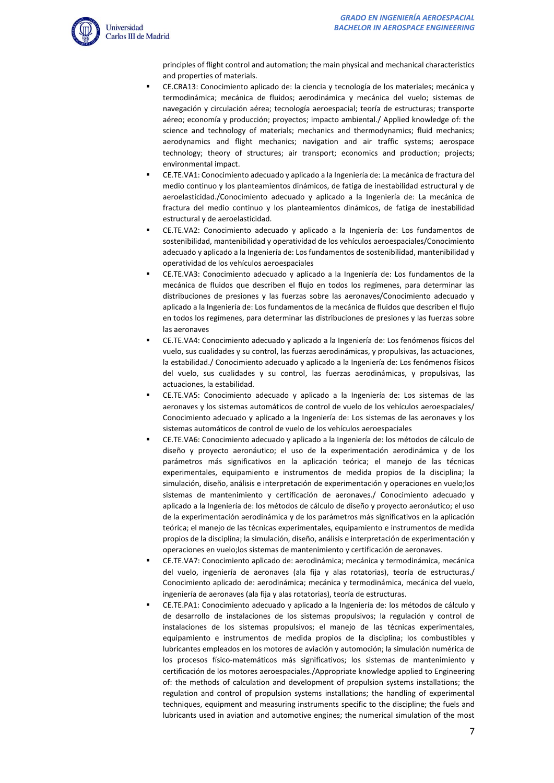

principles of flight control and automation; the main physical and mechanical characteristics and properties of materials.

- CE.CRA13: Conocimiento aplicado de: la ciencia y tecnología de los materiales; mecánica y termodinámica; mecánica de fluidos; aerodinámica y mecánica del vuelo; sistemas de navegación y circulación aérea; tecnología aeroespacial; teoría de estructuras; transporte aéreo; economía y producción; proyectos; impacto ambiental./ Applied knowledge of: the science and technology of materials; mechanics and thermodynamics; fluid mechanics; aerodynamics and flight mechanics; navigation and air traffic systems; aerospace technology; theory of structures; air transport; economics and production; projects; environmental impact.
- CE.TE.VA1: Conocimiento adecuado y aplicado a la Ingeniería de: La mecánica de fractura del medio continuo y los planteamientos dinámicos, de fatiga de inestabilidad estructural y de aeroelasticidad./Conocimiento adecuado y aplicado a la Ingeniería de: La mecánica de fractura del medio continuo y los planteamientos dinámicos, de fatiga de inestabilidad estructural y de aeroelasticidad.
- CE.TE.VA2: Conocimiento adecuado y aplicado a la Ingeniería de: Los fundamentos de sostenibilidad, mantenibilidad y operatividad de los vehículos aeroespaciales/Conocimiento adecuado y aplicado a la Ingeniería de: Los fundamentos de sostenibilidad, mantenibilidad y operatividad de los vehículos aeroespaciales
- CE.TE.VA3: Conocimiento adecuado y aplicado a la Ingeniería de: Los fundamentos de la mecánica de fluidos que describen el flujo en todos los regímenes, para determinar las distribuciones de presiones y las fuerzas sobre las aeronaves/Conocimiento adecuado y aplicado a la Ingeniería de: Los fundamentos de la mecánica de fluidos que describen el flujo en todos los regímenes, para determinar las distribuciones de presiones y las fuerzas sobre las aeronaves
- CE.TE.VA4: Conocimiento adecuado y aplicado a la Ingeniería de: Los fenómenos físicos del vuelo, sus cualidades y su control, las fuerzas aerodinámicas, y propulsivas, las actuaciones, la estabilidad./ Conocimiento adecuado y aplicado a la Ingeniería de: Los fenómenos físicos del vuelo, sus cualidades y su control, las fuerzas aerodinámicas, y propulsivas, las actuaciones, la estabilidad.
- CE.TE.VA5: Conocimiento adecuado y aplicado a la Ingeniería de: Los sistemas de las aeronaves y los sistemas automáticos de control de vuelo de los vehículos aeroespaciales/ Conocimiento adecuado y aplicado a la Ingeniería de: Los sistemas de las aeronaves y los sistemas automáticos de control de vuelo de los vehículos aeroespaciales
- CE.TE.VA6: Conocimiento adecuado y aplicado a la Ingeniería de: los métodos de cálculo de diseño y proyecto aeronáutico; el uso de la experimentación aerodinámica y de los parámetros más significativos en la aplicación teórica; el manejo de las técnicas experimentales, equipamiento e instrumentos de medida propios de la disciplina; la simulación, diseño, análisis e interpretación de experimentación y operaciones en vuelo;los sistemas de mantenimiento y certificación de aeronaves./ Conocimiento adecuado y aplicado a la Ingeniería de: los métodos de cálculo de diseño y proyecto aeronáutico; el uso de la experimentación aerodinámica y de los parámetros más significativos en la aplicación teórica; el manejo de las técnicas experimentales, equipamiento e instrumentos de medida propios de la disciplina; la simulación, diseño, análisis e interpretación de experimentación y operaciones en vuelo;los sistemas de mantenimiento y certificación de aeronaves.
- CE.TE.VA7: Conocimiento aplicado de: aerodinámica; mecánica y termodinámica, mecánica del vuelo, ingeniería de aeronaves (ala fija y alas rotatorias), teoría de estructuras./ Conocimiento aplicado de: aerodinámica; mecánica y termodinámica, mecánica del vuelo, ingeniería de aeronaves (ala fija y alas rotatorias), teoría de estructuras.
- CE.TE.PA1: Conocimiento adecuado y aplicado a la Ingeniería de: los métodos de cálculo y de desarrollo de instalaciones de los sistemas propulsivos; la regulación y control de instalaciones de los sistemas propulsivos; el manejo de las técnicas experimentales, equipamiento e instrumentos de medida propios de la disciplina; los combustibles y lubricantes empleados en los motores de aviación y automoción; la simulación numérica de los procesos físico-matemáticos más significativos; los sistemas de mantenimiento y certificación de los motores aeroespaciales./Appropriate knowledge applied to Engineering of: the methods of calculation and development of propulsion systems installations; the regulation and control of propulsion systems installations; the handling of experimental techniques, equipment and measuring instruments specific to the discipline; the fuels and lubricants used in aviation and automotive engines; the numerical simulation of the most